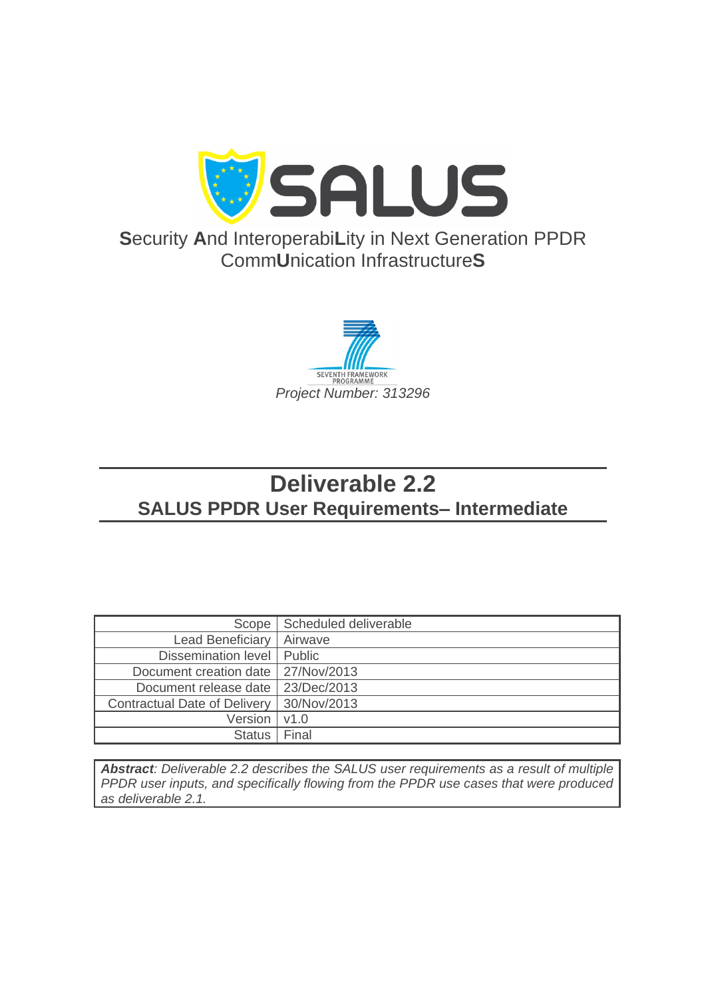

**S**ecurity **A**nd Interoperabi**L**ity in Next Generation PPDR Comm**U**nication Infrastructure**S**



# **Deliverable 2.2 SALUS PPDR User Requirements– Intermediate**

| Scope                                | Scheduled deliverable |
|--------------------------------------|-----------------------|
| <b>Lead Beneficiary</b>              | Airwave               |
| Dissemination level   Public         |                       |
| Document creation date   27/Nov/2013 |                       |
| Document release date                | 23/Dec/2013           |
| <b>Contractual Date of Delivery</b>  | 30/Nov/2013           |
| Version                              | V1.0                  |
| <b>Status</b>                        | Final                 |

*Abstract: Deliverable 2.2 describes the SALUS user requirements as a result of multiple PPDR user inputs, and specifically flowing from the PPDR use cases that were produced as deliverable 2.1.*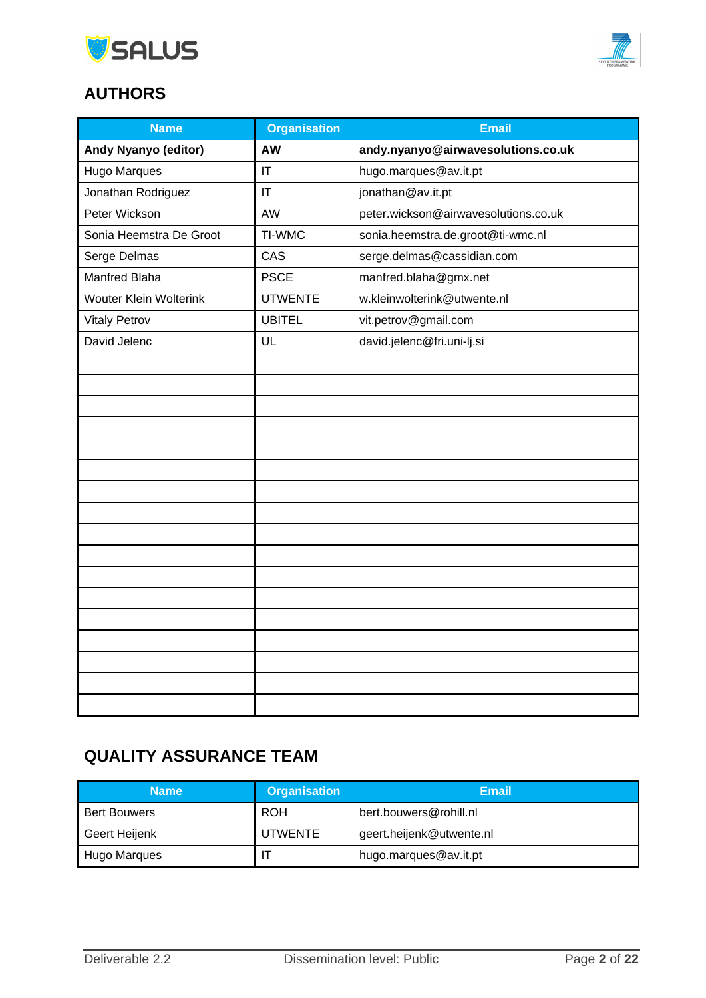



# **AUTHORS**

| <b>Name</b>                 | <b>Organisation</b> | <b>Email</b>                         |
|-----------------------------|---------------------|--------------------------------------|
| <b>Andy Nyanyo (editor)</b> | AW                  | andy.nyanyo@airwavesolutions.co.uk   |
| <b>Hugo Marques</b>         | IT                  | hugo.marques@av.it.pt                |
| Jonathan Rodriguez          | IT                  | jonathan@av.it.pt                    |
| Peter Wickson               | AW                  | peter.wickson@airwavesolutions.co.uk |
| Sonia Heemstra De Groot     | TI-WMC              | sonia.heemstra.de.groot@ti-wmc.nl    |
| Serge Delmas                | CAS                 | serge.delmas@cassidian.com           |
| Manfred Blaha               | <b>PSCE</b>         | manfred.blaha@gmx.net                |
| Wouter Klein Wolterink      | <b>UTWENTE</b>      | w.kleinwolterink@utwente.nl          |
| <b>Vitaly Petrov</b>        | <b>UBITEL</b>       | vit.petrov@gmail.com                 |
| David Jelenc                | UL                  | david.jelenc@fri.uni-lj.si           |
|                             |                     |                                      |
|                             |                     |                                      |
|                             |                     |                                      |
|                             |                     |                                      |
|                             |                     |                                      |
|                             |                     |                                      |
|                             |                     |                                      |
|                             |                     |                                      |
|                             |                     |                                      |
|                             |                     |                                      |
|                             |                     |                                      |
|                             |                     |                                      |
|                             |                     |                                      |
|                             |                     |                                      |
|                             |                     |                                      |
|                             |                     |                                      |
|                             |                     |                                      |

# **QUALITY ASSURANCE TEAM**

| <b>Name</b>         | <b>Organisation</b> | Email                    |
|---------------------|---------------------|--------------------------|
| <b>Bert Bouwers</b> | <b>ROH</b>          | bert.bouwers@rohill.nl   |
| Geert Heijenk       | <b>UTWENTE</b>      | geert.heijenk@utwente.nl |
| Hugo Marques        |                     | hugo.marques@av.it.pt    |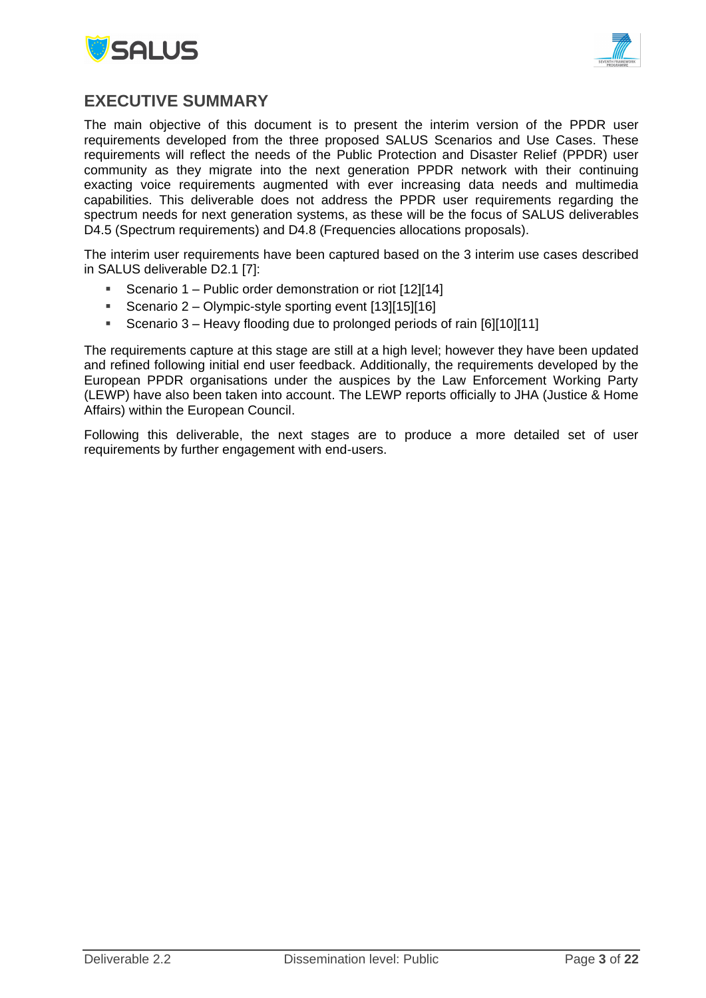



## <span id="page-2-0"></span>**EXECUTIVE SUMMARY**

The main objective of this document is to present the interim version of the PPDR user requirements developed from the three proposed SALUS Scenarios and Use Cases. These requirements will reflect the needs of the Public Protection and Disaster Relief (PPDR) user community as they migrate into the next generation PPDR network with their continuing exacting voice requirements augmented with ever increasing data needs and multimedia capabilities. This deliverable does not address the PPDR user requirements regarding the spectrum needs for next generation systems, as these will be the focus of SALUS deliverables D4.5 (Spectrum requirements) and D4.8 (Frequencies allocations proposals).

The interim user requirements have been captured based on the 3 interim use cases described in SALUS deliverable D2.1 [\[7\]:](#page-15-0)

- Scenario 1 Public order demonstration or riot [\[12\]\[14\]](#page-15-1)
- Scenario 2 Olympic-style sporting event [\[13\]\[15\]](#page-15-2)[\[16\]](#page-15-3)
- Scenario 3 Heavy flooding due to prolonged periods of rain [\[6\]\[10\]](#page-15-4)[\[11\]](#page-15-5)

The requirements capture at this stage are still at a high level; however they have been updated and refined following initial end user feedback. Additionally, the requirements developed by the European PPDR organisations under the auspices by the Law Enforcement Working Party (LEWP) have also been taken into account. The LEWP reports officially to JHA (Justice & Home Affairs) within the European Council.

Following this deliverable, the next stages are to produce a more detailed set of user requirements by further engagement with end-users.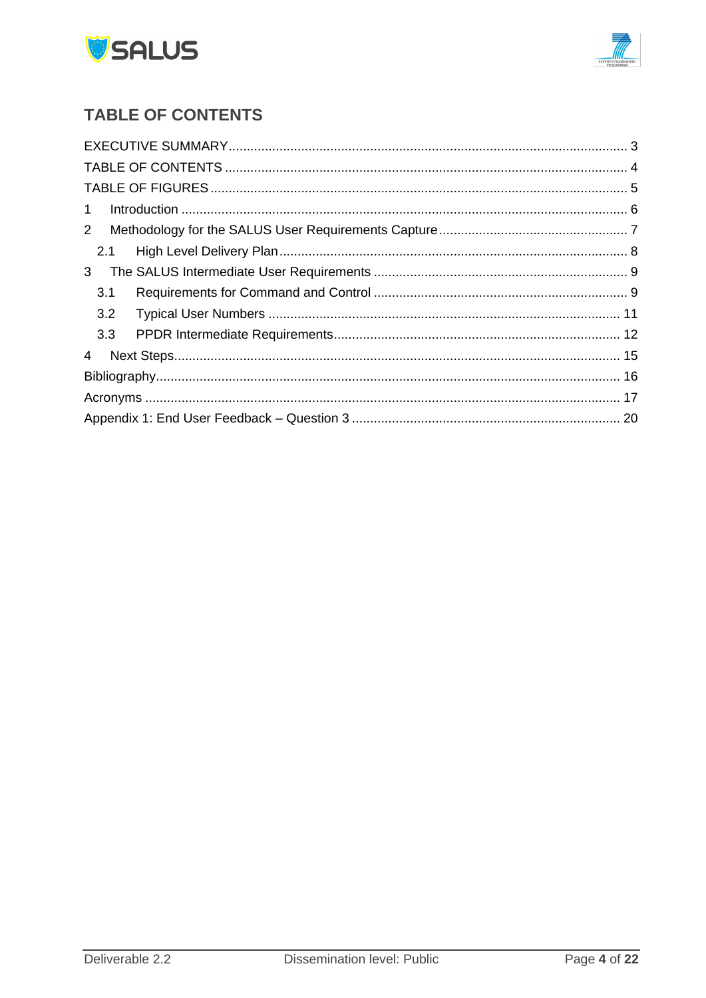



# <span id="page-3-0"></span>**TABLE OF CONTENTS**

| $\mathbf{1}$   |  |
|----------------|--|
| $2^{\circ}$    |  |
| 2.1            |  |
| 3 <sup>1</sup> |  |
| 3.1            |  |
| 3.2            |  |
| 3.3            |  |
| 4              |  |
|                |  |
|                |  |
|                |  |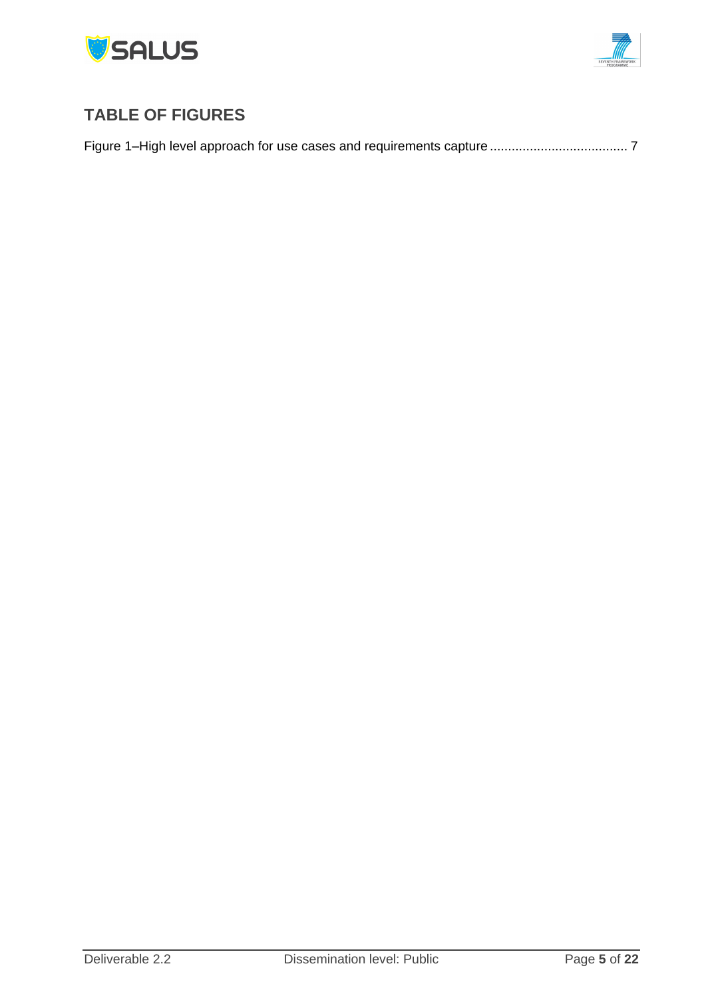



# <span id="page-4-0"></span>**TABLE OF FIGURES**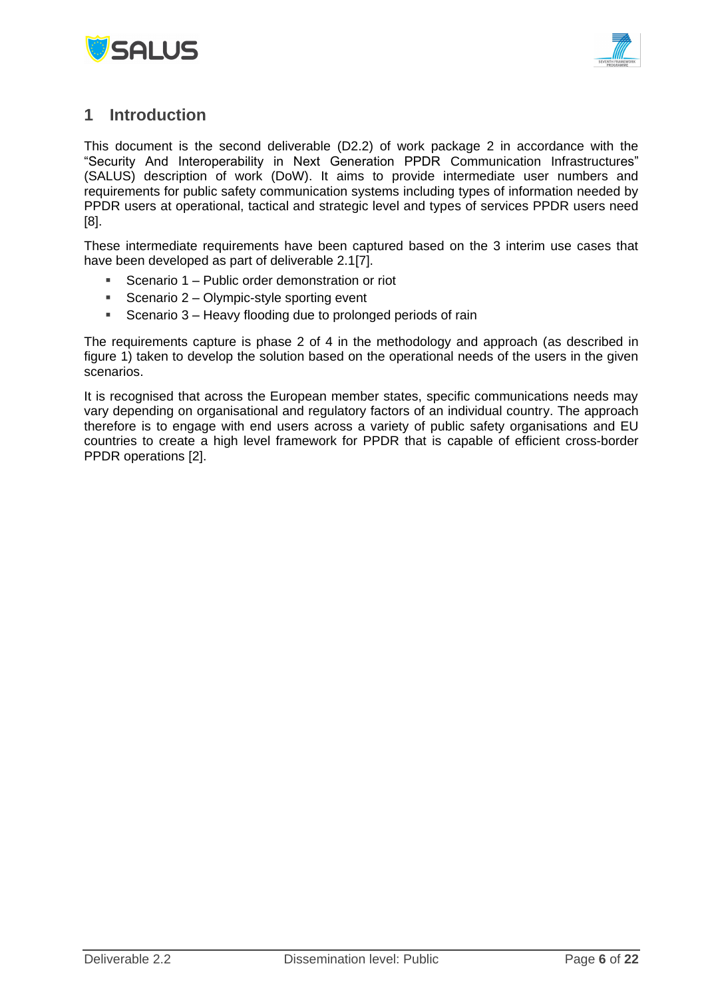



## <span id="page-5-0"></span>**1 Introduction**

This document is the second deliverable (D2.2) of work package 2 in accordance with the "Security And Interoperability in Next Generation PPDR Communication Infrastructures" (SALUS) description of work (DoW). It aims to provide intermediate user numbers and requirements for public safety communication systems including types of information needed by PPDR users at operational, tactical and strategic level and types of services PPDR users need [\[8\].](#page-15-7)

These intermediate requirements have been captured based on the 3 interim use cases that have been developed as part of deliverable 2.[1\[7\].](#page-15-0)

- Scenario 1 Public order demonstration or riot
- Scenario  $2 -$  Olympic-style sporting event
- **Scenario 3 Heavy flooding due to prolonged periods of rain**

The requirements capture is phase 2 of 4 in the methodology and approach (as described in figure 1) taken to develop the solution based on the operational needs of the users in the given scenarios.

It is recognised that across the European member states, specific communications needs may vary depending on organisational and regulatory factors of an individual country. The approach therefore is to engage with end users across a variety of public safety organisations and EU countries to create a high level framework for PPDR that is capable of efficient cross-border PPDR operations [\[2\].](#page-15-8)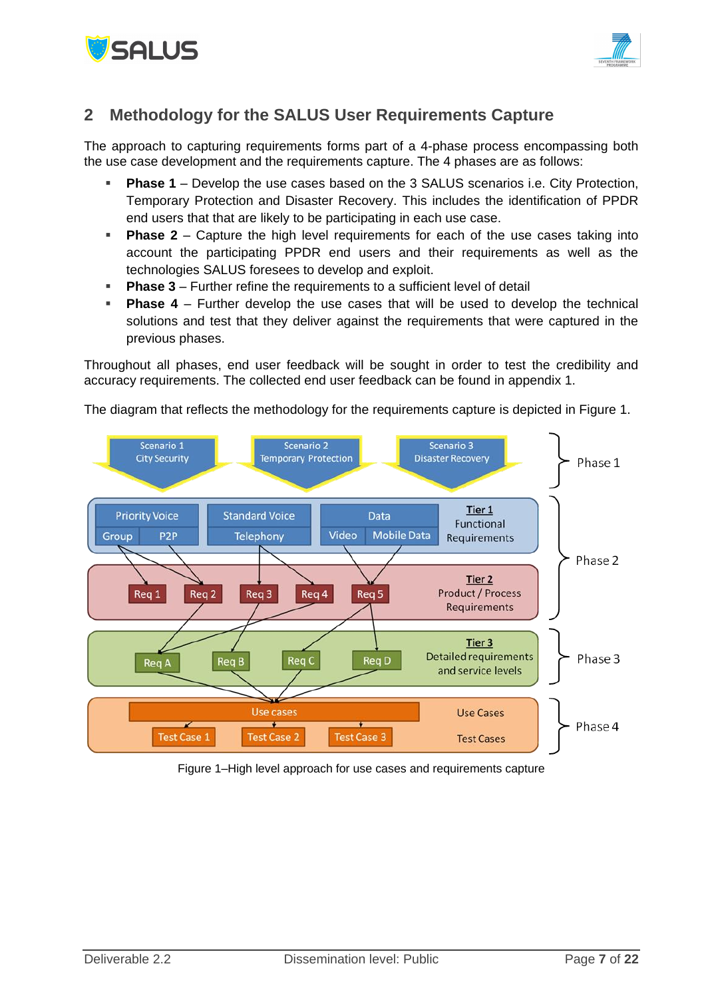



## <span id="page-6-0"></span>**2 Methodology for the SALUS User Requirements Capture**

The approach to capturing requirements forms part of a 4-phase process encompassing both the use case development and the requirements capture. The 4 phases are as follows:

- **Phase 1** Develop the use cases based on the 3 SALUS scenarios i.e. City Protection, Temporary Protection and Disaster Recovery. This includes the identification of PPDR end users that that are likely to be participating in each use case.
- **Phase 2** Capture the high level requirements for each of the use cases taking into account the participating PPDR end users and their requirements as well as the technologies SALUS foresees to develop and exploit.
- **Phase 3** Further refine the requirements to a sufficient level of detail
- **Phase 4**  Further develop the use cases that will be used to develop the technical solutions and test that they deliver against the requirements that were captured in the previous phases.

Throughout all phases, end user feedback will be sought in order to test the credibility and accuracy requirements. The collected end user feedback can be found in appendix 1.

The diagram that reflects the methodology for the requirements capture is depicted in [Figure 1.](#page-6-1)



<span id="page-6-1"></span>Figure 1–High level approach for use cases and requirements capture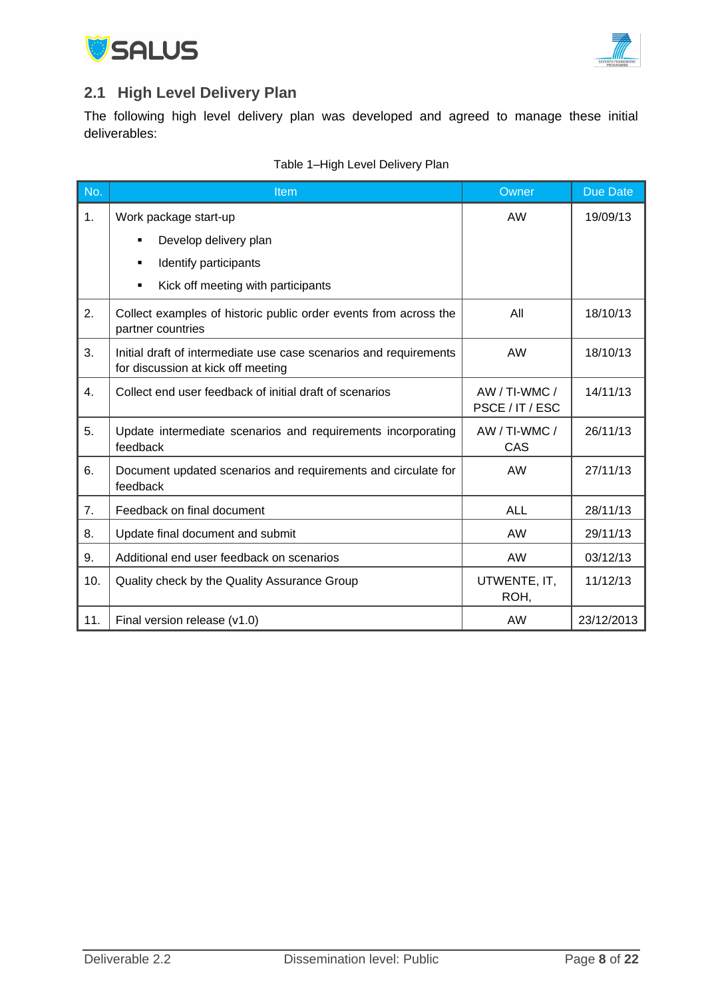



## <span id="page-7-0"></span>**2.1 High Level Delivery Plan**

The following high level delivery plan was developed and agreed to manage these initial deliverables:

| No. | Item                                                                                                    | Owner                              | <b>Due Date</b> |
|-----|---------------------------------------------------------------------------------------------------------|------------------------------------|-----------------|
| 1.  | Work package start-up                                                                                   | <b>AW</b>                          | 19/09/13        |
|     | Develop delivery plan<br>$\blacksquare$                                                                 |                                    |                 |
|     | Identify participants<br>٠                                                                              |                                    |                 |
|     | Kick off meeting with participants<br>٠                                                                 |                                    |                 |
| 2.  | Collect examples of historic public order events from across the<br>partner countries                   | All                                | 18/10/13        |
| 3.  | Initial draft of intermediate use case scenarios and requirements<br>for discussion at kick off meeting | <b>AW</b>                          | 18/10/13        |
| 4.  | Collect end user feedback of initial draft of scenarios                                                 | $AW / TI-WMC /$<br>PSCE / IT / ESC | 14/11/13        |
| 5.  | Update intermediate scenarios and requirements incorporating<br>feedback                                | AW / TI-WMC /<br>CAS               | 26/11/13        |
| 6.  | Document updated scenarios and requirements and circulate for<br>feedback                               | AW                                 | 27/11/13        |
| 7.  | Feedback on final document                                                                              | <b>ALL</b>                         | 28/11/13        |
| 8.  | Update final document and submit                                                                        | AW                                 | 29/11/13        |
| 9.  | Additional end user feedback on scenarios                                                               | <b>AW</b>                          | 03/12/13        |
| 10. | Quality check by the Quality Assurance Group                                                            | UTWENTE, IT,<br>ROH,               | 11/12/13        |
| 11. | Final version release (v1.0)                                                                            | AW                                 | 23/12/2013      |

#### Table 1–High Level Delivery Plan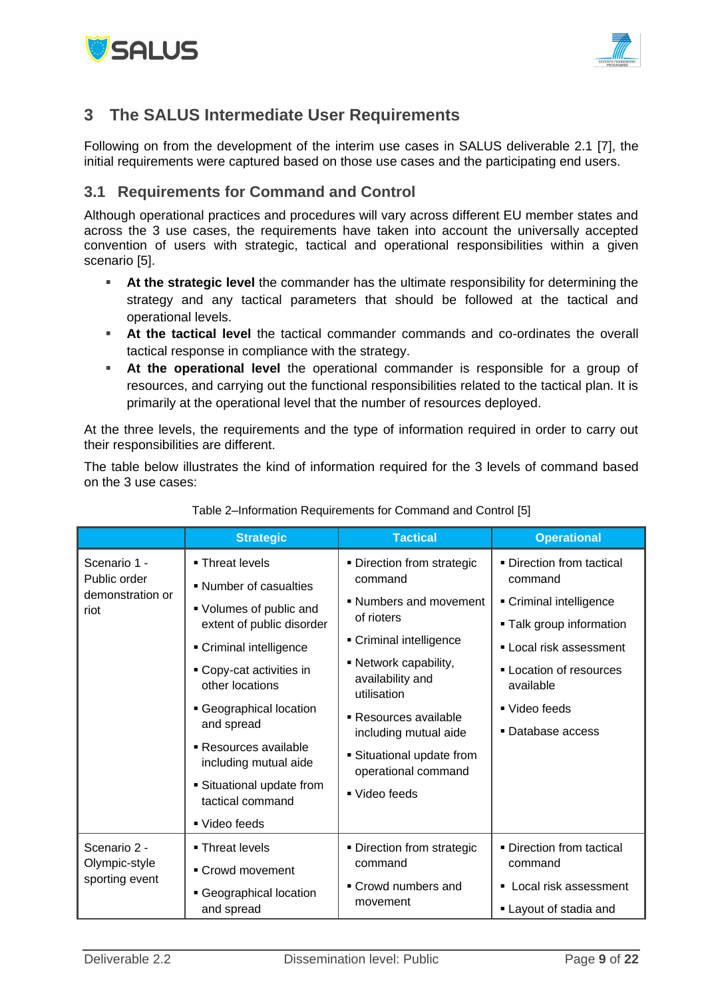



## <span id="page-8-0"></span>**3 The SALUS Intermediate User Requirements**

Following on from the development of the interim use cases in SALUS deliverable 2.1 [\[7\],](#page-15-0) the initial requirements were captured based on those use cases and the participating end users.

## <span id="page-8-1"></span>**3.1 Requirements for Command and Control**

Although operational practices and procedures will vary across different EU member states and across the 3 use cases, the requirements have taken into account the universally accepted convention of users with strategic, tactical and operational responsibilities within a given scenario [\[5\].](#page-15-9)

- **At the strategic level** the commander has the ultimate responsibility for determining the strategy and any tactical parameters that should be followed at the tactical and operational levels.
- **At the tactical level** the tactical commander commands and co-ordinates the overall tactical response in compliance with the strategy.
- **At the operational level** the operational commander is responsible for a group of resources, and carrying out the functional responsibilities related to the tactical plan. It is primarily at the operational level that the number of resources deployed.

At the three levels, the requirements and the type of information required in order to carry out their responsibilities are different.

The table below illustrates the kind of information required for the 3 levels of command based on the 3 use cases:

|                                                          | <b>Strategic</b>                                     | <b>Tactical</b>                                          | <b>Operational</b>                                  |
|----------------------------------------------------------|------------------------------------------------------|----------------------------------------------------------|-----------------------------------------------------|
| Scenario 1 -<br>Public order<br>demonstration or<br>riot | • Threat levels<br>• Number of casualties            | • Direction from strategic<br>command                    | • Direction from tactical<br>command                |
|                                                          | ■ Volumes of public and                              | • Numbers and movement<br>of rioters                     | Criminal intelligence                               |
|                                                          | extent of public disorder<br>• Criminal intelligence | Criminal intelligence                                    | - Talk group information<br>• Local risk assessment |
|                                                          | • Copy-cat activities in<br>other locations          | • Network capability,<br>availability and<br>utilisation | • Location of resources<br>available                |
|                                                          | Geographical location                                | • Resources available                                    | ■ Video feeds                                       |
|                                                          | and spread                                           | including mutual aide                                    | • Database access                                   |
| ■ Resources available<br>including mutual aide           |                                                      | • Situational update from<br>operational command         |                                                     |
|                                                          | • Situational update from<br>tactical command        | ■ Video feeds                                            |                                                     |
|                                                          | ■ Video feeds                                        |                                                          |                                                     |
| Scenario 2 -                                             | ■ Threat levels                                      | • Direction from strategic                               | · Direction from tactical                           |
| Olympic-style<br>sporting event                          | • Crowd movement                                     | command                                                  | command                                             |
|                                                          | Geographical location<br>and spread                  | • Crowd numbers and<br>movement                          | • Local risk assessment<br>• Layout of stadia and   |

#### Table 2–Information Requirements for Command and Control [\[5\]](#page-15-9)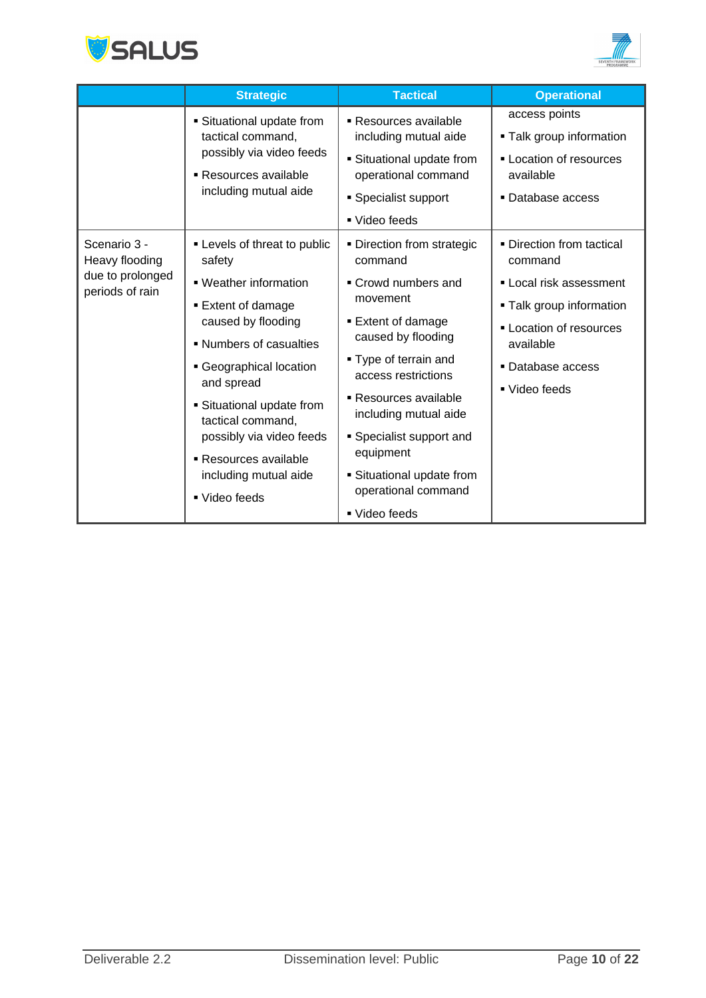



|                                                                       | <b>Strategic</b>                                                                                                                                                                                                                                                                                                                    | <b>Tactical</b>                                                                                                                                                                                                                                                                                                                           | <b>Operational</b>                                                                                                                                                           |
|-----------------------------------------------------------------------|-------------------------------------------------------------------------------------------------------------------------------------------------------------------------------------------------------------------------------------------------------------------------------------------------------------------------------------|-------------------------------------------------------------------------------------------------------------------------------------------------------------------------------------------------------------------------------------------------------------------------------------------------------------------------------------------|------------------------------------------------------------------------------------------------------------------------------------------------------------------------------|
|                                                                       | • Situational update from<br>tactical command,<br>possibly via video feeds<br>■ Resources available<br>including mutual aide                                                                                                                                                                                                        | ■ Resources available<br>including mutual aide<br>• Situational update from<br>operational command<br>• Specialist support<br>■ Video feeds                                                                                                                                                                                               | access points<br>• Talk group information<br>- Location of resources<br>available<br>Database access                                                                         |
| Scenario 3 -<br>Heavy flooding<br>due to prolonged<br>periods of rain | - Levels of threat to public<br>safety<br>• Weather information<br><b>Extent of damage</b><br>caused by flooding<br>• Numbers of casualties<br>• Geographical location<br>and spread<br>• Situational update from<br>tactical command,<br>possibly via video feeds<br>Resources available<br>including mutual aide<br>■ Video feeds | • Direction from strategic<br>command<br>• Crowd numbers and<br>movement<br><b>Extent of damage</b><br>caused by flooding<br>■ Type of terrain and<br>access restrictions<br>■ Resources available<br>including mutual aide<br>• Specialist support and<br>equipment<br>• Situational update from<br>operational command<br>■ Video feeds | • Direction from tactical<br>command<br>Local risk assessment<br><b>Talk group information</b><br>- Location of resources<br>available<br>• Database access<br>■ Video feeds |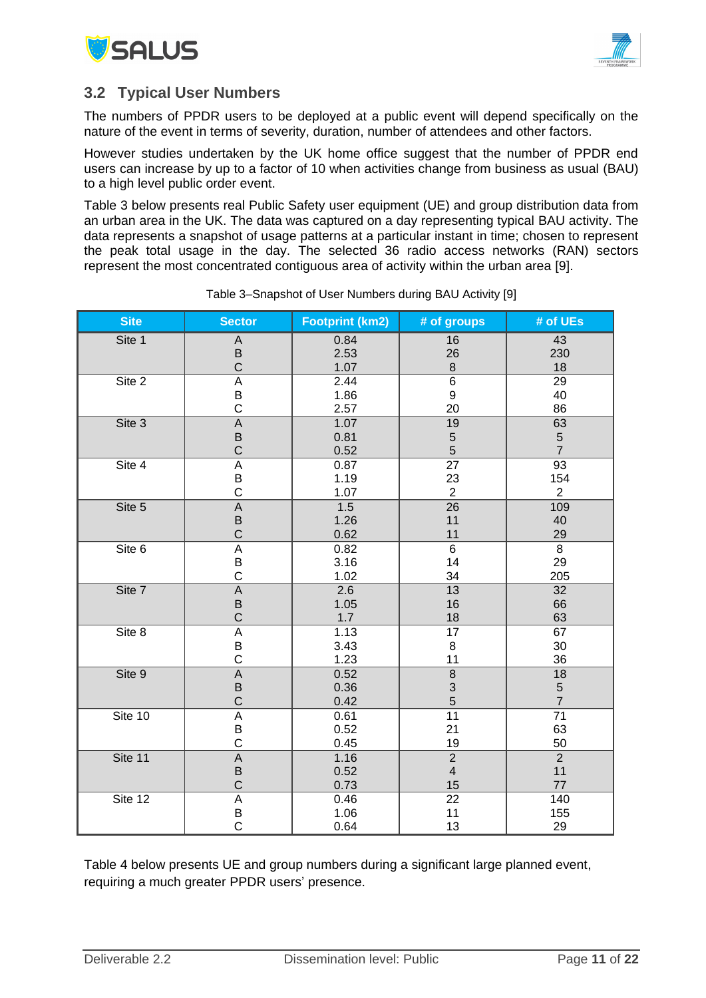



### <span id="page-10-0"></span>**3.2 Typical User Numbers**

The numbers of PPDR users to be deployed at a public event will depend specifically on the nature of the event in terms of severity, duration, number of attendees and other factors.

However studies undertaken by the UK home office suggest that the number of PPDR end users can increase by up to a factor of 10 when activities change from business as usual (BAU) to a high level public order event.

Table 3 below presents real Public Safety user equipment (UE) and group distribution data from an urban area in the UK. The data was captured on a day representing typical BAU activity. The data represents a snapshot of usage patterns at a particular instant in time; chosen to represent the peak total usage in the day. The selected 36 radio access networks (RAN) sectors represent the most concentrated contiguous area of activity within the urban area [\[9\].](#page-15-10)

| <b>Site</b> | <b>Sector</b>             | <b>Footprint (km2)</b> | # of groups               | # of UEs        |  |  |
|-------------|---------------------------|------------------------|---------------------------|-----------------|--|--|
| Site 1      | A                         | 0.84                   | 16                        | 43              |  |  |
|             | B                         | 2.53                   | 26                        | 230             |  |  |
|             | $\mathsf C$               | 1.07                   | $\bf 8$                   | 18              |  |  |
| Site 2      | A                         | 2.44                   | 6                         | 29              |  |  |
|             | B                         | 1.86                   | 9                         | 40<br>86        |  |  |
|             | $\mathsf C$               | 2.57                   | 20                        |                 |  |  |
| Site 3      | A                         | 1.07                   | 19                        | 63              |  |  |
|             | B                         | 0.81                   | $\sqrt{5}$                | $\sqrt{5}$      |  |  |
|             | $\mathsf C$               | 0.52                   | $\overline{5}$            | $\overline{7}$  |  |  |
| Site 4      | A                         | 0.87                   | 27                        | $\overline{93}$ |  |  |
|             | B                         | 1.19                   | 23                        | 154             |  |  |
|             | $\mathsf C$               | 1.07                   | $\overline{2}$            | $\overline{2}$  |  |  |
| Site 5      | $\mathsf A$               | 1.5                    | 26                        | 109             |  |  |
|             | B                         | 1.26                   | 11                        | 40              |  |  |
|             | $\mathsf C$               | 0.62                   | 11                        | 29              |  |  |
| Site 6      | $\overline{A}$            | 0.82                   | $\overline{6}$            | $\overline{8}$  |  |  |
|             | B                         | 3.16                   | 14                        | 29              |  |  |
|             | $\mathsf C$               | 1.02                   | 34                        | 205             |  |  |
| Site 7      | $\mathsf A$               | 2.6                    | 13                        | 32              |  |  |
|             | $\sf B$                   | 1.05                   | 16                        | 66              |  |  |
|             | $\mathsf C$               | 1.7                    | 18                        | 63              |  |  |
| Site 8      | $\boldsymbol{\mathsf{A}}$ | 1.13                   | 17                        | 67              |  |  |
|             | B                         | 3.43                   | 8                         | $30\,$          |  |  |
|             | $\mathsf C$               | 1.23                   | 11                        | 36              |  |  |
| Site 9      | $\mathsf A$               | 0.52                   | $\,8\,$                   | 18              |  |  |
|             | B                         | 0.36                   | $\ensuremath{\mathsf{3}}$ | $\mathbf 5$     |  |  |
|             | $\mathsf C$               | 0.42                   | 5                         | $\overline{7}$  |  |  |
| Site 10     | A                         | 0.61                   | $\overline{11}$           | 71              |  |  |
|             | B                         | 0.52                   | 21                        | 63              |  |  |
|             | $\mathsf C$               | 0.45                   | 19                        | 50              |  |  |
| Site 11     | $\mathsf A$               | 1.16                   | $\overline{2}$            | $\overline{2}$  |  |  |
|             | $\sf B$                   | 0.52                   | $\overline{4}$            | 11              |  |  |
|             | $\mathsf{C}$              | 0.73                   | 15                        | 77              |  |  |
| Site 12     | $\overline{A}$            | 0.46                   | 22                        | 140             |  |  |
|             | B<br>C                    | 1.06                   | 11                        | 155             |  |  |
|             |                           | 0.64                   | 13                        | 29              |  |  |

Table 3–Snapshot of User Numbers during BAU Activity [\[9\]](#page-15-10)

Table 4 below presents UE and group numbers during a significant large planned event, requiring a much greater PPDR users' presence.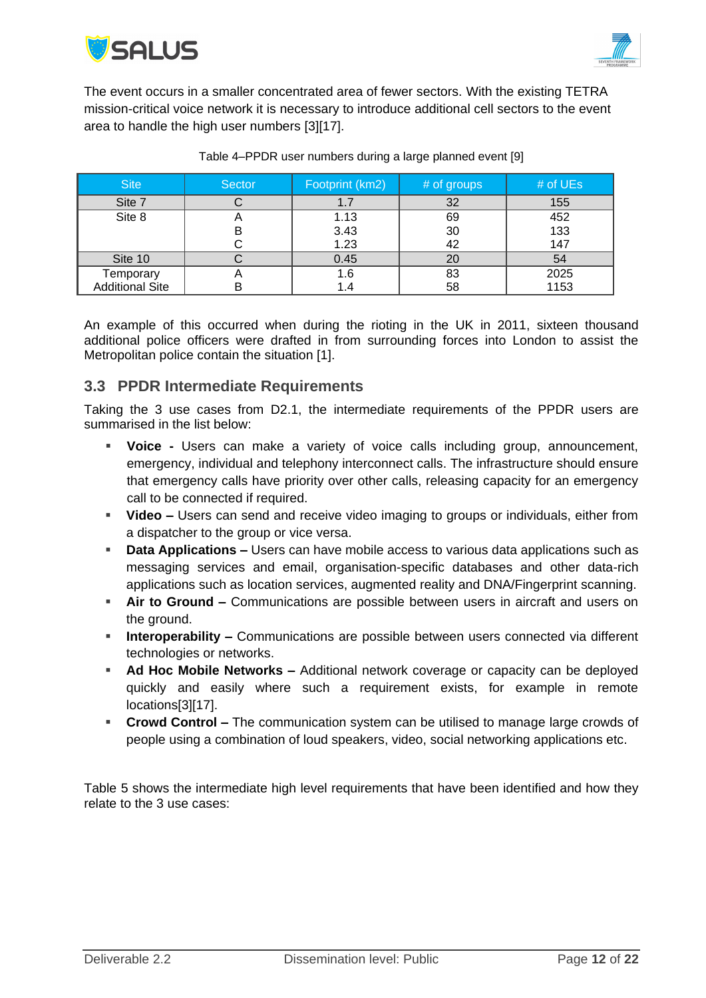



The event occurs in a smaller concentrated area of fewer sectors. With the existing TETRA mission-critical voice network it is necessary to introduce additional cell sectors to the event area to handle the high user numbers [\[3\]\[17\].](#page-15-11)

| <b>Site</b>            | <b>Sector</b> | Footprint (km2) | # of groups | # of UEs |
|------------------------|---------------|-----------------|-------------|----------|
| Site 7                 |               |                 | 32          | 155      |
| Site 8                 |               | 1.13            | 69          | 452      |
|                        |               | 3.43            | 30          | 133      |
|                        |               | 1.23            | 42          | 147      |
| Site 10                |               | 0.45            | 20          | 54       |
| Temporary              |               | 1.6             | 83          | 2025     |
| <b>Additional Site</b> | ь             |                 | 58          | 1153     |

#### Table 4–PPDR user numbers during a large planned event [\[9\]](#page-15-10)

An example of this occurred when during the rioting in the UK in 2011, sixteen thousand additional police officers were drafted in from surrounding forces into London to assist the Metropolitan police contain the situation [\[1\].](#page-15-12)

### <span id="page-11-0"></span>**3.3 PPDR Intermediate Requirements**

Taking the 3 use cases from D2.1, the intermediate requirements of the PPDR users are summarised in the list below:

- **Voice -** Users can make a variety of voice calls including group, announcement, emergency, individual and telephony interconnect calls. The infrastructure should ensure that emergency calls have priority over other calls, releasing capacity for an emergency call to be connected if required.
- **Video –** Users can send and receive video imaging to groups or individuals, either from a dispatcher to the group or vice versa.
- **Data Applications –** Users can have mobile access to various data applications such as messaging services and email, organisation-specific databases and other data-rich applications such as location services, augmented reality and DNA/Fingerprint scanning.
- **Air to Ground –** Communications are possible between users in aircraft and users on the ground.
- **Interoperability** Communications are possible between users connected via different technologies or networks.
- **Ad Hoc Mobile Networks –** Additional network coverage or capacity can be deployed quickly and easily where such a requirement exists, for example in remote location[s\[3\]\[17\].](#page-15-11)
- **Crowd Control –** The communication system can be utilised to manage large crowds of people using a combination of loud speakers, video, social networking applications etc.

[Table 5](#page-12-0) shows the intermediate high level requirements that have been identified and how they relate to the 3 use cases: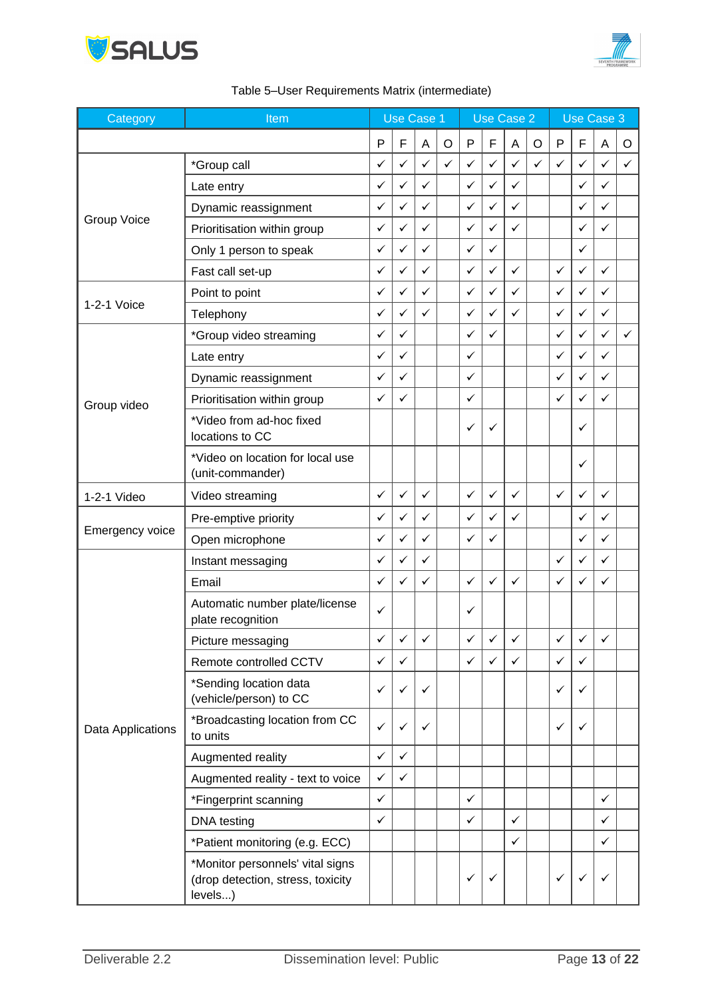



<span id="page-12-0"></span>

| Category           | Item                                                                             |              | <b>Use Case 1</b> |              | Use Case 2   |              |   |              | Use Case 3 |              |              |              |              |
|--------------------|----------------------------------------------------------------------------------|--------------|-------------------|--------------|--------------|--------------|---|--------------|------------|--------------|--------------|--------------|--------------|
|                    |                                                                                  | P            | F                 | Α            | $\circ$      | P            | F | Α            | $\circ$    | $\mathsf{P}$ | F            | Α            | O            |
|                    | *Group call                                                                      | ✓            | ✓                 | ✓            | $\checkmark$ | ✓            | ✓ | ✓            | ✓          | ✓            | ✓            | ✓            | $\checkmark$ |
|                    | Late entry                                                                       | ✓            | ✓                 | ✓            |              | ✓            | ✓ | $\checkmark$ |            |              | ✓            | ✓            |              |
|                    | Dynamic reassignment                                                             | ✓            | ✓                 | ✓            |              | $\checkmark$ | ✓ | $\checkmark$ |            |              | ✓            | ✓            |              |
| <b>Group Voice</b> | Prioritisation within group                                                      | ✓            | ✓                 | ✓            |              | ✓            | ✓ | ✓            |            |              | ✓            | ✓            |              |
|                    | Only 1 person to speak                                                           | ✓            | ✓                 | ✓            |              | ✓            | ✓ |              |            |              | ✓            |              |              |
|                    | Fast call set-up                                                                 | ✓            | ✓                 | ✓            |              | ✓            | ✓ | ✓            |            | ✓            | ✓            | ✓            |              |
|                    | Point to point                                                                   | ✓            | ✓                 | ✓            |              | ✓            | ✓ | ✓            |            | ✓            | ✓            | ✓            |              |
| 1-2-1 Voice        | Telephony                                                                        | ✓            | ✓                 | ✓            |              | ✓            | ✓ | ✓            |            | ✓            | ✓            | ✓            |              |
|                    | *Group video streaming                                                           | ✓            | ✓                 |              |              | ✓            | ✓ |              |            | ✓            | ✓            | ✓            | $\checkmark$ |
|                    | Late entry                                                                       | ✓            | ✓                 |              |              | ✓            |   |              |            | ✓            | ✓            | ✓            |              |
|                    | Dynamic reassignment                                                             | ✓            | ✓                 |              |              | ✓            |   |              |            | ✓            | ✓            | ✓            |              |
| Group video        | Prioritisation within group                                                      | ✓            | ✓                 |              |              | ✓            |   |              |            | ✓            | ✓            | ✓            |              |
|                    | *Video from ad-hoc fixed<br>locations to CC                                      |              |                   |              |              | ✓            | ✓ |              |            |              | ✓            |              |              |
|                    | *Video on location for local use<br>(unit-commander)                             |              |                   |              |              |              |   |              |            |              | ✓            |              |              |
| 1-2-1 Video        | Video streaming                                                                  | ✓            | ✓                 | ✓            |              | ✓            | ✓ | ✓            |            | ✓            | $\checkmark$ | ✓            |              |
|                    | Pre-emptive priority                                                             | ✓            | ✓                 | ✓            |              | ✓            | ✓ | ✓            |            |              | ✓            | ✓            |              |
| Emergency voice    | Open microphone                                                                  | ✓            | ✓                 | ✓            |              | ✓            | ✓ |              |            |              | ✓            | ✓            |              |
|                    | Instant messaging                                                                | ✓            | ✓                 | ✓            |              |              |   |              |            | ✓            | $\checkmark$ | ✓            |              |
|                    | Email                                                                            | ✓            | ✓                 | ✓            |              | ✓            | ✓ | ✓            |            | ✓            | ✓            | ✓            |              |
|                    | Automatic number plate/license<br>plate recognition                              | ✓            |                   |              |              | ✓            |   |              |            |              |              |              |              |
|                    | Picture messaging                                                                | ✓            | ✓                 | $\checkmark$ |              | ✓            | ✓ | ✓            |            | ✓            | ✓            | ✓            |              |
|                    | Remote controlled CCTV                                                           | $\checkmark$ | $\checkmark$      |              |              | $\checkmark$ | ✓ | ✓            |            | $\checkmark$ | $\checkmark$ |              |              |
|                    | *Sending location data<br>(vehicle/person) to CC                                 | ✓            | ✓                 | ✓            |              |              |   |              |            | ✓            | ✓            |              |              |
| Data Applications  | *Broadcasting location from CC<br>to units                                       | $\checkmark$ | ✓                 | ✓            |              |              |   |              |            | ✓            | ✓            |              |              |
|                    | Augmented reality                                                                | $\checkmark$ | $\checkmark$      |              |              |              |   |              |            |              |              |              |              |
|                    | Augmented reality - text to voice                                                | $\checkmark$ | $\checkmark$      |              |              |              |   |              |            |              |              |              |              |
|                    | *Fingerprint scanning                                                            | $\checkmark$ |                   |              |              | $\checkmark$ |   |              |            |              |              | ✓            |              |
|                    | DNA testing                                                                      | $\checkmark$ |                   |              |              | ✓            |   | ✓            |            |              |              | $\checkmark$ |              |
|                    | *Patient monitoring (e.g. ECC)                                                   |              |                   |              |              |              |   | $\checkmark$ |            |              |              | ✓            |              |
|                    | *Monitor personnels' vital signs<br>(drop detection, stress, toxicity<br>levels) |              |                   |              |              | ✓            | ✓ |              |            | ✓            | ✓            | ✓            |              |

### Table 5–User Requirements Matrix (intermediate)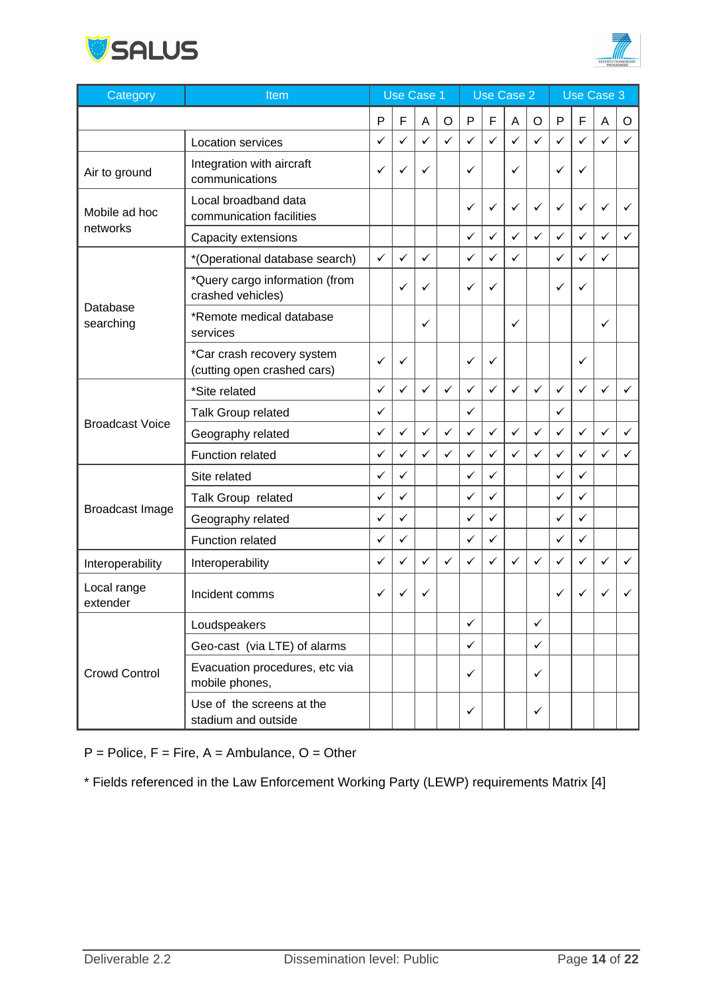



| Category                | Item                                                      |   | Use Case 1 |              | Use Case 2 |              |              |                           | <b>Use Case 3</b> |              |              |              |   |
|-------------------------|-----------------------------------------------------------|---|------------|--------------|------------|--------------|--------------|---------------------------|-------------------|--------------|--------------|--------------|---|
|                         |                                                           | P | F          | A            | $\circ$    | P            | F            | $\boldsymbol{\mathsf{A}}$ | $\circ$           | P            | F            | A            | O |
|                         | Location services                                         | ✓ | ✓          | $\checkmark$ | ✓          | ✓            | ✓            | $\checkmark$              | $\checkmark$      | ✓            | $\checkmark$ | ✓            | ✓ |
| Air to ground           | Integration with aircraft<br>communications               | ✓ | ✓          | ✓            |            | ✓            |              | ✓                         |                   | ✓            | ✓            |              |   |
| Mobile ad hoc           | Local broadband data<br>communication facilities          |   |            |              |            | ✓            | ✓            | ✓                         | ✓                 | $\checkmark$ | ✓            | ✓            | ✓ |
| networks                | Capacity extensions                                       |   |            |              |            | $\checkmark$ | ✓            | $\checkmark$              | ✓                 | $\checkmark$ | $\checkmark$ | $\checkmark$ | ✓ |
|                         | *(Operational database search)                            | ✓ | ✓          | ✓            |            | ✓            | ✓            | ✓                         |                   | ✓            | ✓            | ✓            |   |
|                         | *Query cargo information (from<br>crashed vehicles)       |   | ✓          | ✓            |            | ✓            | ✓            |                           |                   | ✓            | ✓            |              |   |
| Database<br>searching   | *Remote medical database<br>services                      |   |            | ✓            |            |              |              | ✓                         |                   |              |              | ✓            |   |
|                         | *Car crash recovery system<br>(cutting open crashed cars) | ✓ | ✓          |              |            | ✓            | ✓            |                           |                   |              | ✓            |              |   |
|                         | *Site related                                             | ✓ | ✓          | $\checkmark$ | ✓          | ✓            | ✓            | $\checkmark$              | ✓                 | ✓            | ✓            | $\checkmark$ | ✓ |
|                         | Talk Group related                                        | ✓ |            |              |            | ✓            |              |                           |                   | ✓            |              |              |   |
| <b>Broadcast Voice</b>  | Geography related                                         | ✓ | ✓          | $\checkmark$ | ✓          | $\checkmark$ | $\checkmark$ | $\checkmark$              | ✓                 | $\checkmark$ | ✓            | ✓            | ✓ |
|                         | Function related                                          | ✓ | ✓          | ✓            | ✓          | $\checkmark$ | ✓            | ✓                         | ✓                 | ✓            | ✓            | ✓            | ✓ |
|                         | Site related                                              | ✓ | ✓          |              |            | ✓            | ✓            |                           |                   | ✓            | ✓            |              |   |
|                         | Talk Group related                                        | ✓ | ✓          |              |            | ✓            | ✓            |                           |                   | ✓            | ✓            |              |   |
| <b>Broadcast Image</b>  | Geography related                                         | ✓ | ✓          |              |            | ✓            | ✓            |                           |                   | ✓            | ✓            |              |   |
|                         | Function related                                          | ✓ | ✓          |              |            | ✓            | ✓            |                           |                   | ✓            | ✓            |              |   |
| Interoperability        | Interoperability                                          | ✓ | ✓          | ✓            | ✓          | $\checkmark$ | ✓            | $\checkmark$              | ✓                 | $\checkmark$ | ✓            | ✓            | ✓ |
| Local range<br>extender | Incident comms                                            | ✓ | ✓          | ✓            |            |              |              |                           |                   | ✓            |              |              |   |
|                         | Loudspeakers                                              |   |            |              |            | ✓            |              |                           | ✓                 |              |              |              |   |
|                         | Geo-cast (via LTE) of alarms                              |   |            |              |            | $\checkmark$ |              |                           | $\checkmark$      |              |              |              |   |
| <b>Crowd Control</b>    | Evacuation procedures, etc via<br>mobile phones,          |   |            |              |            | ✓            |              |                           | ✓                 |              |              |              |   |
|                         | Use of the screens at the<br>stadium and outside          |   |            |              |            | ✓            |              |                           | ✓                 |              |              |              |   |

 $P =$  Police,  $F =$  Fire,  $A =$  Ambulance,  $O =$  Other

\* Fields referenced in the Law Enforcement Working Party (LEWP) requirements Matrix [\[4\]](#page-15-13)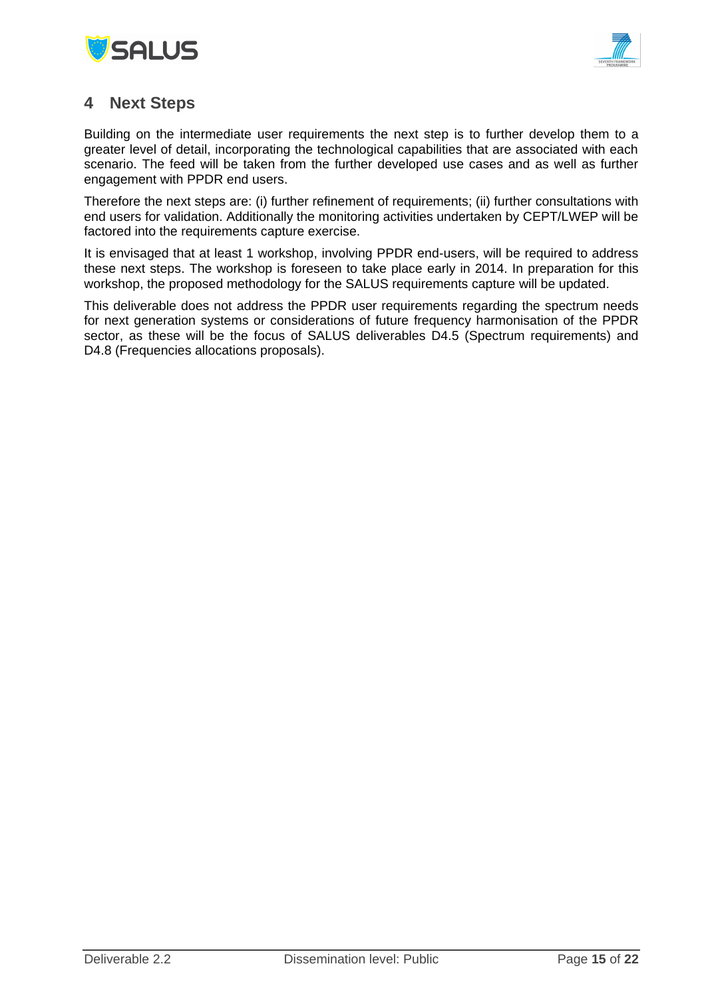



## <span id="page-14-0"></span>**4 Next Steps**

Building on the intermediate user requirements the next step is to further develop them to a greater level of detail, incorporating the technological capabilities that are associated with each scenario. The feed will be taken from the further developed use cases and as well as further engagement with PPDR end users.

Therefore the next steps are: (i) further refinement of requirements; (ii) further consultations with end users for validation. Additionally the monitoring activities undertaken by CEPT/LWEP will be factored into the requirements capture exercise.

It is envisaged that at least 1 workshop, involving PPDR end-users, will be required to address these next steps. The workshop is foreseen to take place early in 2014. In preparation for this workshop, the proposed methodology for the SALUS requirements capture will be updated.

This deliverable does not address the PPDR user requirements regarding the spectrum needs for next generation systems or considerations of future frequency harmonisation of the PPDR sector, as these will be the focus of SALUS deliverables D4.5 (Spectrum requirements) and D4.8 (Frequencies allocations proposals).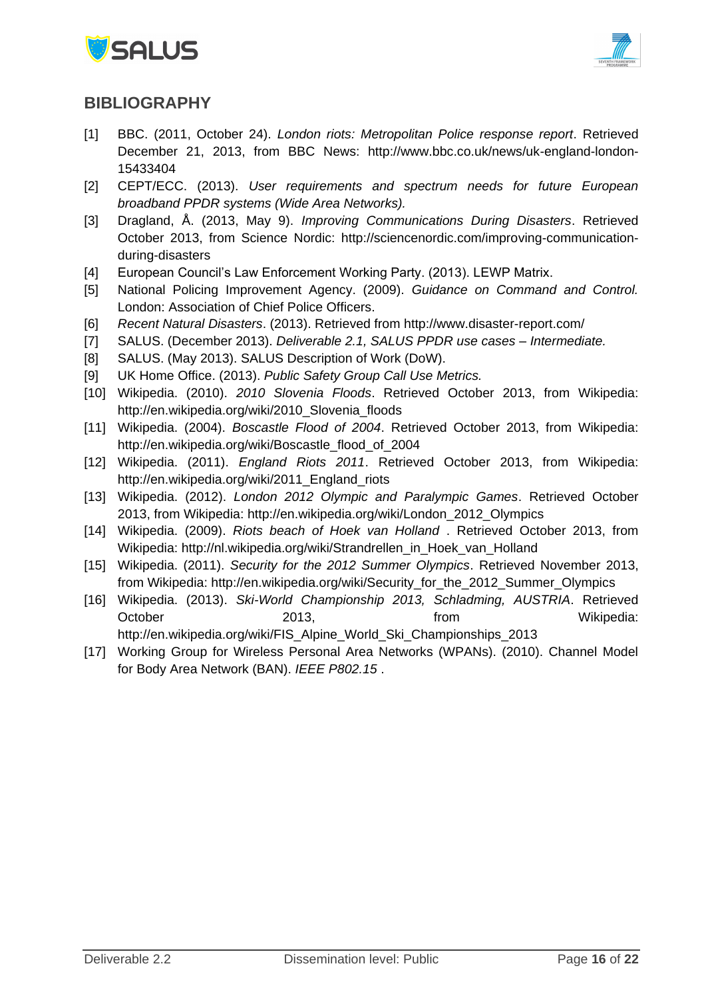



## <span id="page-15-6"></span>**BIBLIOGRAPHY**

- <span id="page-15-12"></span>[1] BBC. (2011, October 24). *London riots: Metropolitan Police response report*. Retrieved December 21, 2013, from BBC News: http://www.bbc.co.uk/news/uk-england-london-15433404
- <span id="page-15-8"></span>[2] CEPT/ECC. (2013). *User requirements and spectrum needs for future European broadband PPDR systems (Wide Area Networks).*
- <span id="page-15-11"></span>[3] Dragland, Å. (2013, May 9). *Improving Communications During Disasters*. Retrieved October 2013, from Science Nordic: http://sciencenordic.com/improving-communicationduring-disasters
- <span id="page-15-13"></span>[4] European Council's Law Enforcement Working Party. (2013). LEWP Matrix.
- <span id="page-15-9"></span>[5] National Policing Improvement Agency. (2009). *Guidance on Command and Control.* London: Association of Chief Police Officers.
- <span id="page-15-4"></span>[6] *Recent Natural Disasters*. (2013). Retrieved from http://www.disaster-report.com/
- <span id="page-15-0"></span>[7] SALUS. (December 2013). *Deliverable 2.1, SALUS PPDR use cases – Intermediate.*
- <span id="page-15-7"></span>[8] SALUS. (May 2013). SALUS Description of Work (DoW).
- <span id="page-15-10"></span>[9] UK Home Office. (2013). *Public Safety Group Call Use Metrics.*
- [10] Wikipedia. (2010). *2010 Slovenia Floods*. Retrieved October 2013, from Wikipedia: http://en.wikipedia.org/wiki/2010\_Slovenia\_floods
- <span id="page-15-5"></span>[11] Wikipedia. (2004). *Boscastle Flood of 2004*. Retrieved October 2013, from Wikipedia: http://en.wikipedia.org/wiki/Boscastle\_flood\_of\_2004
- <span id="page-15-1"></span>[12] Wikipedia. (2011). *England Riots 2011*. Retrieved October 2013, from Wikipedia: http://en.wikipedia.org/wiki/2011 England riots
- <span id="page-15-2"></span>[13] Wikipedia. (2012). *London 2012 Olympic and Paralympic Games*. Retrieved October 2013, from Wikipedia: http://en.wikipedia.org/wiki/London\_2012\_Olympics
- [14] Wikipedia. (2009). *Riots beach of Hoek van Holland* . Retrieved October 2013, from Wikipedia: http://nl.wikipedia.org/wiki/Strandrellen\_in\_Hoek\_van\_Holland
- [15] Wikipedia. (2011). *Security for the 2012 Summer Olympics*. Retrieved November 2013, from Wikipedia: http://en.wikipedia.org/wiki/Security\_for\_the\_2012\_Summer\_Olympics
- <span id="page-15-3"></span>[16] Wikipedia. (2013). *Ski-World Championship 2013, Schladming, AUSTRIA*. Retrieved October 2013, 2013, from Wikipedia: http://en.wikipedia.org/wiki/FIS\_Alpine\_World\_Ski\_Championships\_2013
- [17] Working Group for Wireless Personal Area Networks (WPANs). (2010). Channel Model for Body Area Network (BAN). *IEEE P802.15* .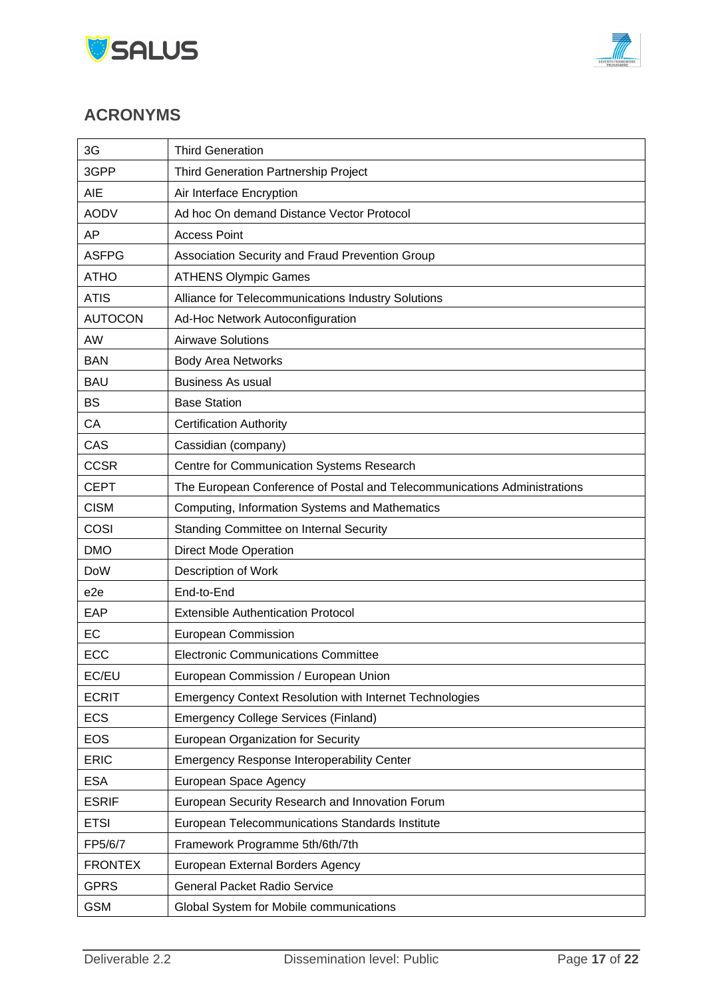



## <span id="page-16-0"></span>**ACRONYMS**

| 3G              | <b>Third Generation</b>                                                  |  |  |
|-----------------|--------------------------------------------------------------------------|--|--|
| 3GPP            | Third Generation Partnership Project                                     |  |  |
| <b>AIE</b>      | Air Interface Encryption                                                 |  |  |
| <b>AODV</b>     | Ad hoc On demand Distance Vector Protocol                                |  |  |
| ΑP              | <b>Access Point</b>                                                      |  |  |
| <b>ASFPG</b>    | Association Security and Fraud Prevention Group                          |  |  |
| <b>ATHO</b>     | <b>ATHENS Olympic Games</b>                                              |  |  |
| <b>ATIS</b>     | Alliance for Telecommunications Industry Solutions                       |  |  |
| <b>AUTOCON</b>  | Ad-Hoc Network Autoconfiguration                                         |  |  |
| AW              | <b>Airwave Solutions</b>                                                 |  |  |
| <b>BAN</b>      | <b>Body Area Networks</b>                                                |  |  |
| <b>BAU</b>      | <b>Business As usual</b>                                                 |  |  |
| <b>BS</b>       | <b>Base Station</b>                                                      |  |  |
| CA              | <b>Certification Authority</b>                                           |  |  |
| CAS             | Cassidian (company)                                                      |  |  |
| <b>CCSR</b>     | Centre for Communication Systems Research                                |  |  |
| <b>CEPT</b>     | The European Conference of Postal and Telecommunications Administrations |  |  |
| <b>CISM</b>     | Computing, Information Systems and Mathematics                           |  |  |
| COSI            | <b>Standing Committee on Internal Security</b>                           |  |  |
| <b>DMO</b>      | <b>Direct Mode Operation</b>                                             |  |  |
| <b>DoW</b>      | Description of Work                                                      |  |  |
| e <sub>2e</sub> | End-to-End                                                               |  |  |
| EAP             | <b>Extensible Authentication Protocol</b>                                |  |  |
| EC              | European Commission                                                      |  |  |
| ECC             | <b>Electronic Communications Committee</b>                               |  |  |
| EC/EU           | European Commission / European Union                                     |  |  |
| <b>ECRIT</b>    | <b>Emergency Context Resolution with Internet Technologies</b>           |  |  |
| <b>ECS</b>      | <b>Emergency College Services (Finland)</b>                              |  |  |
| <b>EOS</b>      | European Organization for Security                                       |  |  |
| <b>ERIC</b>     | <b>Emergency Response Interoperability Center</b>                        |  |  |
| <b>ESA</b>      | European Space Agency                                                    |  |  |
| <b>ESRIF</b>    | European Security Research and Innovation Forum                          |  |  |
| <b>ETSI</b>     | European Telecommunications Standards Institute                          |  |  |
| FP5/6/7         | Framework Programme 5th/6th/7th                                          |  |  |
| <b>FRONTEX</b>  | European External Borders Agency                                         |  |  |
| <b>GPRS</b>     | <b>General Packet Radio Service</b>                                      |  |  |
| <b>GSM</b>      | Global System for Mobile communications                                  |  |  |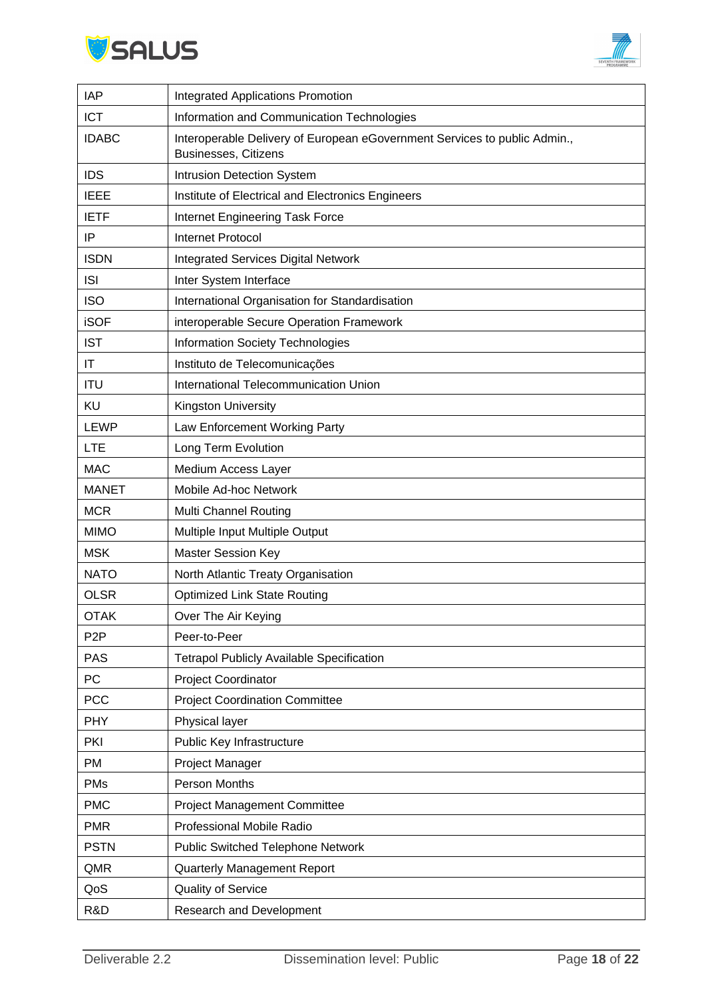



| <b>IAP</b>       | <b>Integrated Applications Promotion</b>                                                                 |
|------------------|----------------------------------------------------------------------------------------------------------|
| <b>ICT</b>       | Information and Communication Technologies                                                               |
| <b>IDABC</b>     | Interoperable Delivery of European eGovernment Services to public Admin.,<br><b>Businesses, Citizens</b> |
| <b>IDS</b>       | Intrusion Detection System                                                                               |
| <b>IEEE</b>      | Institute of Electrical and Electronics Engineers                                                        |
| <b>IETF</b>      | Internet Engineering Task Force                                                                          |
| IP               | <b>Internet Protocol</b>                                                                                 |
| <b>ISDN</b>      | <b>Integrated Services Digital Network</b>                                                               |
| <b>ISI</b>       | Inter System Interface                                                                                   |
| <b>ISO</b>       | International Organisation for Standardisation                                                           |
| <b>iSOF</b>      | interoperable Secure Operation Framework                                                                 |
| <b>IST</b>       | <b>Information Society Technologies</b>                                                                  |
| IT               | Instituto de Telecomunicações                                                                            |
| <b>ITU</b>       | International Telecommunication Union                                                                    |
| KU               | Kingston University                                                                                      |
| <b>LEWP</b>      | Law Enforcement Working Party                                                                            |
| <b>LTE</b>       | Long Term Evolution                                                                                      |
| <b>MAC</b>       | Medium Access Layer                                                                                      |
| <b>MANET</b>     | Mobile Ad-hoc Network                                                                                    |
| <b>MCR</b>       | Multi Channel Routing                                                                                    |
| <b>MIMO</b>      | Multiple Input Multiple Output                                                                           |
| <b>MSK</b>       | <b>Master Session Key</b>                                                                                |
| <b>NATO</b>      | North Atlantic Treaty Organisation                                                                       |
| <b>OLSR</b>      | <b>Optimized Link State Routing</b>                                                                      |
| <b>OTAK</b>      | Over The Air Keying                                                                                      |
| P <sub>2</sub> P | Peer-to-Peer                                                                                             |
| PAS              | <b>Tetrapol Publicly Available Specification</b>                                                         |
| PC               | Project Coordinator                                                                                      |
| <b>PCC</b>       | <b>Project Coordination Committee</b>                                                                    |
| <b>PHY</b>       | Physical layer                                                                                           |
| <b>PKI</b>       | Public Key Infrastructure                                                                                |
| PM               | Project Manager                                                                                          |
| <b>PMs</b>       | Person Months                                                                                            |
| <b>PMC</b>       | <b>Project Management Committee</b>                                                                      |
| <b>PMR</b>       | Professional Mobile Radio                                                                                |
| <b>PSTN</b>      | <b>Public Switched Telephone Network</b>                                                                 |
| QMR              | Quarterly Management Report                                                                              |
| QoS              | Quality of Service                                                                                       |
| R&D              | Research and Development                                                                                 |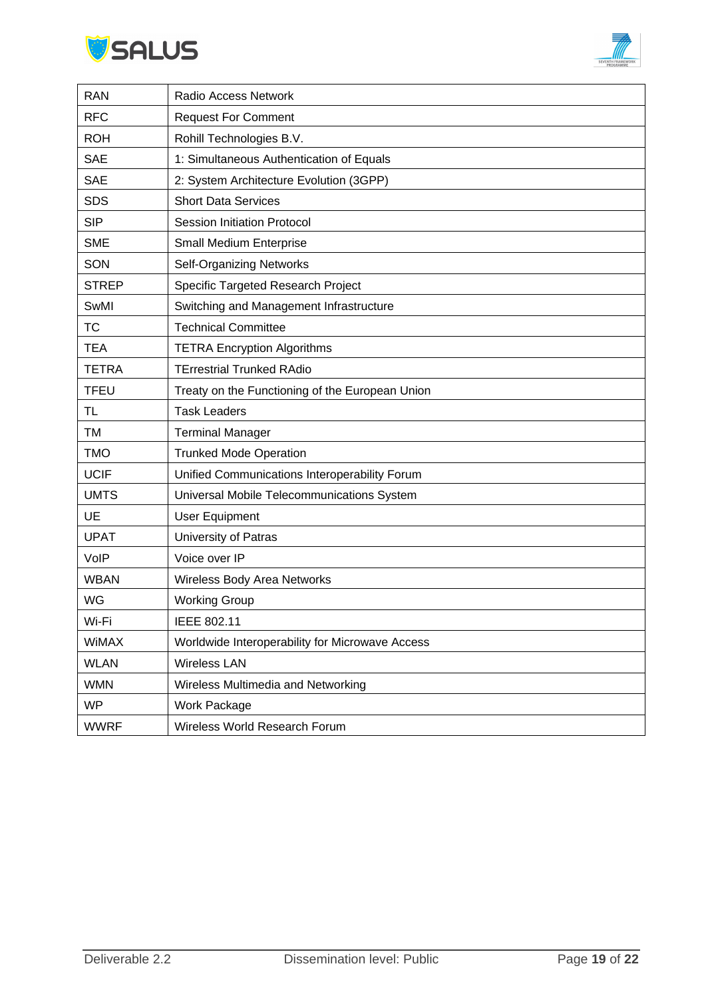



| <b>RAN</b>   | Radio Access Network                            |
|--------------|-------------------------------------------------|
| <b>RFC</b>   | <b>Request For Comment</b>                      |
| <b>ROH</b>   | Rohill Technologies B.V.                        |
| <b>SAE</b>   | 1: Simultaneous Authentication of Equals        |
| <b>SAE</b>   | 2: System Architecture Evolution (3GPP)         |
| <b>SDS</b>   | <b>Short Data Services</b>                      |
| <b>SIP</b>   | <b>Session Initiation Protocol</b>              |
| <b>SME</b>   | Small Medium Enterprise                         |
| SON          | <b>Self-Organizing Networks</b>                 |
| <b>STREP</b> | Specific Targeted Research Project              |
| SwMI         | Switching and Management Infrastructure         |
| <b>TC</b>    | <b>Technical Committee</b>                      |
| <b>TEA</b>   | <b>TETRA Encryption Algorithms</b>              |
| <b>TETRA</b> | <b>TErrestrial Trunked RAdio</b>                |
| <b>TFEU</b>  | Treaty on the Functioning of the European Union |
| <b>TL</b>    | <b>Task Leaders</b>                             |
| TM           | <b>Terminal Manager</b>                         |
| <b>TMO</b>   | <b>Trunked Mode Operation</b>                   |
| <b>UCIF</b>  | Unified Communications Interoperability Forum   |
| <b>UMTS</b>  | Universal Mobile Telecommunications System      |
| UE           | <b>User Equipment</b>                           |
| <b>UPAT</b>  | University of Patras                            |
| VolP         | Voice over IP                                   |
| <b>WBAN</b>  | Wireless Body Area Networks                     |
| WG           | <b>Working Group</b>                            |
| Wi-Fi        | IEEE 802.11                                     |
| <b>WiMAX</b> | Worldwide Interoperability for Microwave Access |
| <b>WLAN</b>  | <b>Wireless LAN</b>                             |
| <b>WMN</b>   | Wireless Multimedia and Networking              |
| <b>WP</b>    | Work Package                                    |
| <b>WWRF</b>  | Wireless World Research Forum                   |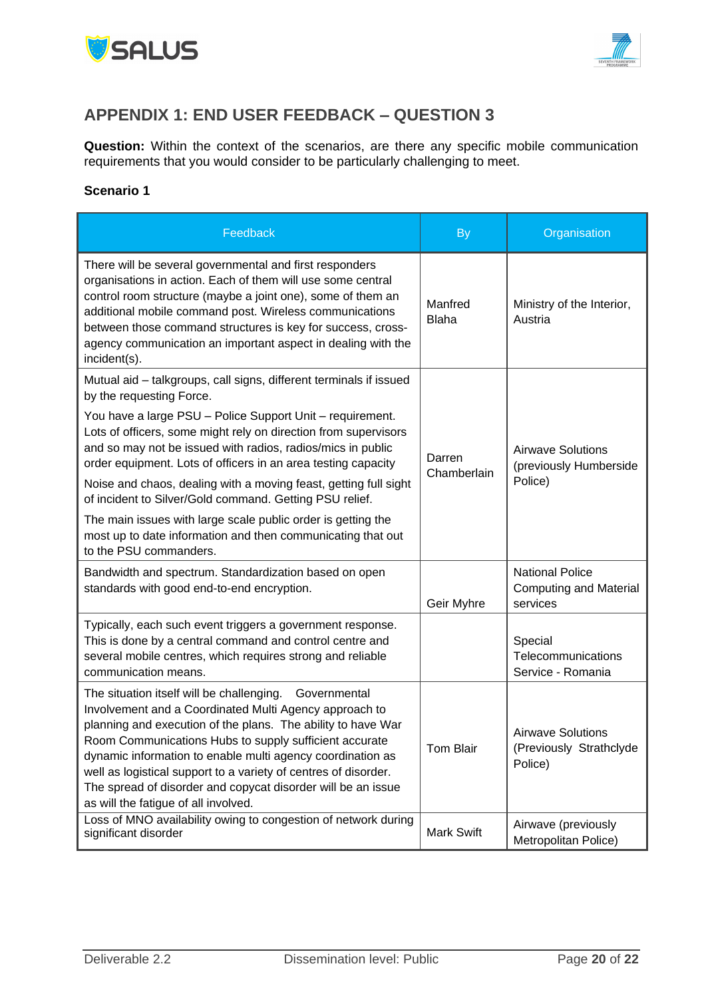



# <span id="page-19-0"></span>**APPENDIX 1: END USER FEEDBACK – QUESTION 3**

**Question:** Within the context of the scenarios, are there any specific mobile communication requirements that you would consider to be particularly challenging to meet.

#### **Scenario 1**

| Feedback                                                                                                                                                                                                                                                                                                                                                                                                                                                                            | <b>By</b>               | Organisation                                                        |
|-------------------------------------------------------------------------------------------------------------------------------------------------------------------------------------------------------------------------------------------------------------------------------------------------------------------------------------------------------------------------------------------------------------------------------------------------------------------------------------|-------------------------|---------------------------------------------------------------------|
| There will be several governmental and first responders<br>organisations in action. Each of them will use some central<br>control room structure (maybe a joint one), some of them an<br>additional mobile command post. Wireless communications<br>between those command structures is key for success, cross-<br>agency communication an important aspect in dealing with the<br>incident(s).                                                                                     | Manfred<br><b>Blaha</b> | Ministry of the Interior,<br>Austria                                |
| Mutual aid - talkgroups, call signs, different terminals if issued<br>by the requesting Force.<br>You have a large PSU - Police Support Unit - requirement.<br>Lots of officers, some might rely on direction from supervisors<br>and so may not be issued with radios, radios/mics in public<br>order equipment. Lots of officers in an area testing capacity                                                                                                                      | Darren                  | <b>Airwave Solutions</b><br>(previously Humberside<br>Police)       |
| Noise and chaos, dealing with a moving feast, getting full sight<br>of incident to Silver/Gold command. Getting PSU relief.                                                                                                                                                                                                                                                                                                                                                         | Chamberlain             |                                                                     |
| The main issues with large scale public order is getting the<br>most up to date information and then communicating that out<br>to the PSU commanders.                                                                                                                                                                                                                                                                                                                               |                         |                                                                     |
| Bandwidth and spectrum. Standardization based on open<br>standards with good end-to-end encryption.                                                                                                                                                                                                                                                                                                                                                                                 | Geir Myhre              | <b>National Police</b><br><b>Computing and Material</b><br>services |
| Typically, each such event triggers a government response.<br>This is done by a central command and control centre and<br>several mobile centres, which requires strong and reliable<br>communication means.                                                                                                                                                                                                                                                                        |                         | Special<br>Telecommunications<br>Service - Romania                  |
| The situation itself will be challenging. Governmental<br>Involvement and a Coordinated Multi Agency approach to<br>planning and execution of the plans. The ability to have War<br>Room Communications Hubs to supply sufficient accurate<br>dynamic information to enable multi agency coordination as<br>well as logistical support to a variety of centres of disorder.<br>The spread of disorder and copycat disorder will be an issue<br>as will the fatigue of all involved. | <b>Tom Blair</b>        | <b>Airwave Solutions</b><br>(Previously Strathclyde<br>Police)      |
| Loss of MNO availability owing to congestion of network during<br>significant disorder                                                                                                                                                                                                                                                                                                                                                                                              | <b>Mark Swift</b>       | Airwave (previously<br>Metropolitan Police)                         |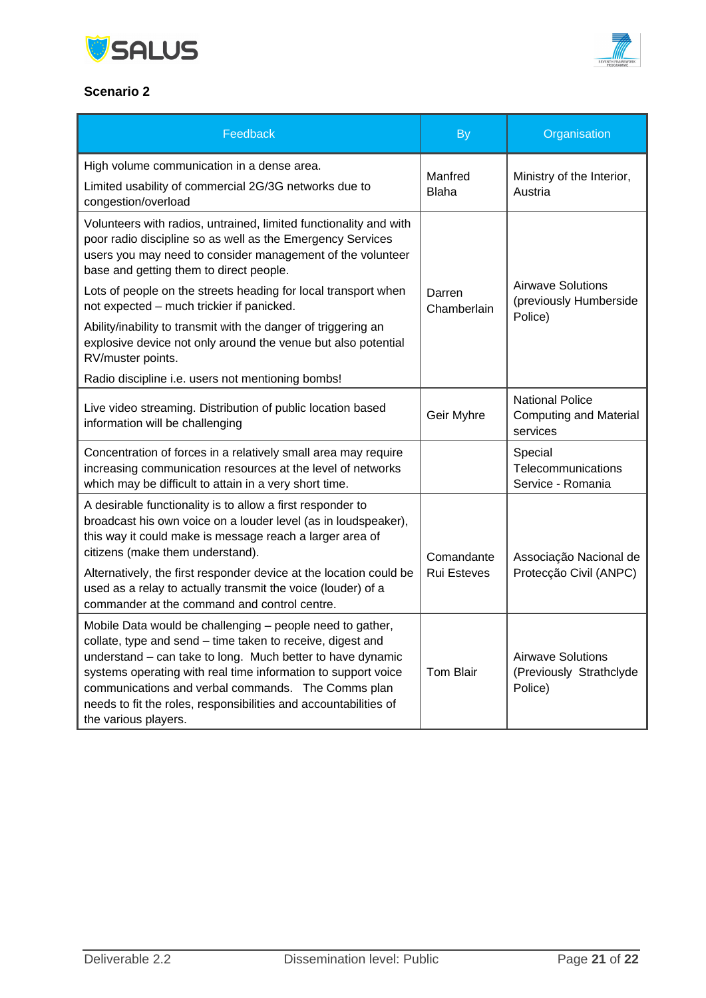



#### **Scenario 2**

| Feedback                                                                                                                                                                                                                                                                                                                                                                                                           | <b>By</b>                        | Organisation                                                        |
|--------------------------------------------------------------------------------------------------------------------------------------------------------------------------------------------------------------------------------------------------------------------------------------------------------------------------------------------------------------------------------------------------------------------|----------------------------------|---------------------------------------------------------------------|
| High volume communication in a dense area.<br>Limited usability of commercial 2G/3G networks due to<br>congestion/overload                                                                                                                                                                                                                                                                                         | Manfred<br><b>Blaha</b>          | Ministry of the Interior,<br>Austria                                |
| Volunteers with radios, untrained, limited functionality and with<br>poor radio discipline so as well as the Emergency Services<br>users you may need to consider management of the volunteer<br>base and getting them to direct people.<br>Lots of people on the streets heading for local transport when                                                                                                         | Darren                           | <b>Airwave Solutions</b><br>(previously Humberside                  |
| not expected - much trickier if panicked.<br>Ability/inability to transmit with the danger of triggering an<br>explosive device not only around the venue but also potential<br>RV/muster points.<br>Radio discipline i.e. users not mentioning bombs!                                                                                                                                                             | Chamberlain                      | Police)                                                             |
| Live video streaming. Distribution of public location based<br>information will be challenging                                                                                                                                                                                                                                                                                                                     | Geir Myhre                       | <b>National Police</b><br><b>Computing and Material</b><br>services |
| Concentration of forces in a relatively small area may require<br>increasing communication resources at the level of networks<br>which may be difficult to attain in a very short time.                                                                                                                                                                                                                            |                                  | Special<br>Telecommunications<br>Service - Romania                  |
| A desirable functionality is to allow a first responder to<br>broadcast his own voice on a louder level (as in loudspeaker),<br>this way it could make is message reach a larger area of<br>citizens (make them understand).<br>Alternatively, the first responder device at the location could be<br>used as a relay to actually transmit the voice (louder) of a<br>commander at the command and control centre. | Comandante<br><b>Rui Esteves</b> | Associação Nacional de<br>Protecção Civil (ANPC)                    |
| Mobile Data would be challenging - people need to gather,<br>collate, type and send - time taken to receive, digest and<br>understand - can take to long. Much better to have dynamic<br>systems operating with real time information to support voice<br>communications and verbal commands. The Comms plan<br>needs to fit the roles, responsibilities and accountabilities of<br>the various players.           | <b>Tom Blair</b>                 | <b>Airwave Solutions</b><br>(Previously Strathclyde<br>Police)      |